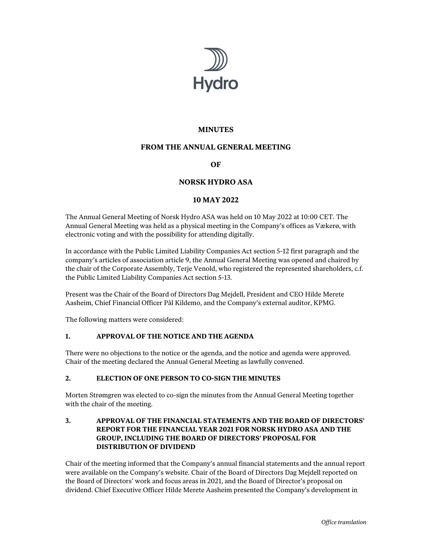

# **MINUTES**

# **FROM THE ANNUAL GENERAL MEETING**

# **OF**

# **NORSK HYDRO ASA**

#### **10 MAY 2022**

The Annual General Meeting of Norsk Hydro ASA was held on 10 May 2022 at 10:00 CET. The Annual General Meeting was held as a physical meeting in the Company's offices as Vækerø, with electronic voting and with the possibility for attending digitally.

In accordance with the Public Limited Liability Companies Act section 5-12 first paragraph and the company's articles of association article 9, the Annual General Meeting was opened and chaired by the chair of the Corporate Assembly, Terje Venold, who registered the represented shareholders, c.f. the Public Limited Liability Companies Act section 5-13.

Present was the Chair of the Board of Directors Dag Mejdell, President and CEO Hilde Merete Aasheim, Chief Financial Officer Pål Kildemo, and the Company's external auditor, KPMG.

The following matters were considered:

#### **1. APPROVAL OF THE NOTICE AND THE AGENDA**

There were no objections to the notice or the agenda, and the notice and agenda were approved. Chair of the meeting declared the Annual General Meeting as lawfully convened.

#### **2. ELECTION OF ONE PERSON TO CO-SIGN THE MINUTES**

Morten Strømgren was elected to co-sign the minutes from the Annual General Meeting together with the chair of the meeting.

#### **3. APPROVAL OF THE FINANCIAL STATEMENTS AND THE BOARD OF DIRECTORS' REPORT FOR THE FINANCIAL YEAR 2021 FOR NORSK HYDRO ASA AND THE GROUP, INCLUDING THE BOARD OF DIRECTORS' PROPOSAL FOR DISTRIBUTION OF DIVIDEND**

Chair of the meeting informed that the Company's annual financial statements and the annual report were available on the Company's website. Chair of the Board of Directors Dag Mejdell reported on the Board of Directors' work and focus areas in 2021, and the Board of Director's proposal on dividend. Chief Executive Officer Hilde Merete Aasheim presented the Company's development in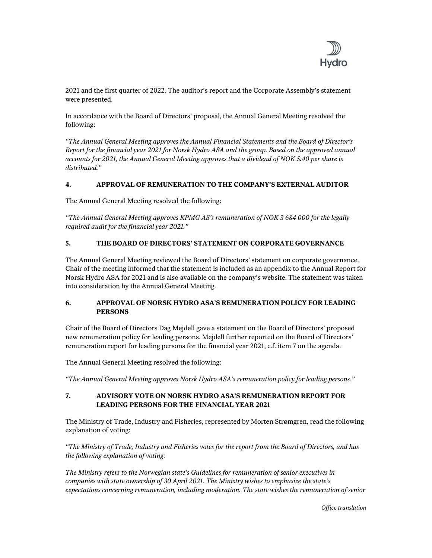

2021 and the first quarter of 2022. The auditor's report and the Corporate Assembly's statement were presented.

In accordance with the Board of Directors' proposal, the Annual General Meeting resolved the following:

*"The Annual General Meeting approves the Annual Financial Statements and the Board of Director's Report for the financial year 2021 for Norsk Hydro ASA and the group. Based on the approved annual accounts for 2021, the Annual General Meeting approves that a dividend of NOK 5.40 per share is distributed."* 

#### **4. APPROVAL OF REMUNERATION TO THE COMPANY'S EXTERNAL AUDITOR**

The Annual General Meeting resolved the following:

*"The Annual General Meeting approves KPMG AS's remuneration of NOK 3 684 000 for the legally required audit for the financial year 2021."* 

#### **5. THE BOARD OF DIRECTORS' STATEMENT ON CORPORATE GOVERNANCE**

The Annual General Meeting reviewed the Board of Directors' statement on corporate governance. Chair of the meeting informed that the statement is included as an appendix to the Annual Report for Norsk Hydro ASA for 2021 and is also available on the company's website. The statement was taken into consideration by the Annual General Meeting.

#### **6. APPROVAL OF NORSK HYDRO ASA'S REMUNERATION POLICY FOR LEADING PERSONS**

Chair of the Board of Directors Dag Mejdell gave a statement on the Board of Directors' proposed new remuneration policy for leading persons. Mejdell further reported on the Board of Directors' remuneration report for leading persons for the financial year 2021, c.f. item 7 on the agenda.

The Annual General Meeting resolved the following:

*"The Annual General Meeting approves Norsk Hydro ASA's remuneration policy for leading persons."* 

#### **7. ADVISORY VOTE ON NORSK HYDRO ASA'S REMUNERATION REPORT FOR LEADING PERSONS FOR THE FINANCIAL YEAR 2021**

The Ministry of Trade, Industry and Fisheries, represented by Morten Strømgren, read the following explanation of voting:

*"The Ministry of Trade, Industry and Fisheries votes for the report from the Board of Directors, and has the following explanation of voting:* 

*The Ministry refers to the Norwegian state's Guidelines for remuneration of senior executives in companies with state ownership of 30 April 2021. The Ministry wishes to emphasize the state's expectations concerning remuneration, including moderation. The state wishes the remuneration of senior* 

*Office translation*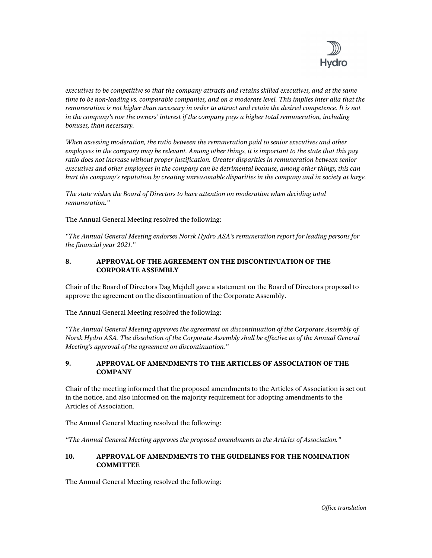

*executives to be competitive so that the company attracts and retains skilled executives, and at the same time to be non-leading vs. comparable companies, and on a moderate level. This implies inter alia that the remuneration is not higher than necessary in order to attract and retain the desired competence. It is not in the company's nor the owners' interest if the company pays a higher total remuneration, including bonuses, than necessary.* 

*When assessing moderation, the ratio between the remuneration paid to senior executives and other employees in the company may be relevant. Among other things, it is important to the state that this pay ratio does not increase without proper justification. Greater disparities in remuneration between senior executives and other employees in the company can be detrimental because, among other things, this can hurt the company's reputation by creating unreasonable disparities in the company and in society at large.* 

*The state wishes the Board of Directors to have attention on moderation when deciding total remuneration."* 

The Annual General Meeting resolved the following:

*"The Annual General Meeting endorses Norsk Hydro ASA's remuneration report for leading persons for the financial year 2021."* 

#### **8. APPROVAL OF THE AGREEMENT ON THE DISCONTINUATION OF THE CORPORATE ASSEMBLY**

Chair of the Board of Directors Dag Mejdell gave a statement on the Board of Directors proposal to approve the agreement on the discontinuation of the Corporate Assembly.

The Annual General Meeting resolved the following:

*"The Annual General Meeting approves the agreement on discontinuation of the Corporate Assembly of Norsk Hydro ASA. The dissolution of the Corporate Assembly shall be effective as of the Annual General Meeting's approval of the agreement on discontinuation."* 

#### **9. APPROVAL OF AMENDMENTS TO THE ARTICLES OF ASSOCIATION OF THE COMPANY**

Chair of the meeting informed that the proposed amendments to the Articles of Association is set out in the notice, and also informed on the majority requirement for adopting amendments to the Articles of Association.

The Annual General Meeting resolved the following:

*"The Annual General Meeting approves the proposed amendments to the Articles of Association."* 

# **10. APPROVAL OF AMENDMENTS TO THE GUIDELINES FOR THE NOMINATION COMMITTEE**

The Annual General Meeting resolved the following: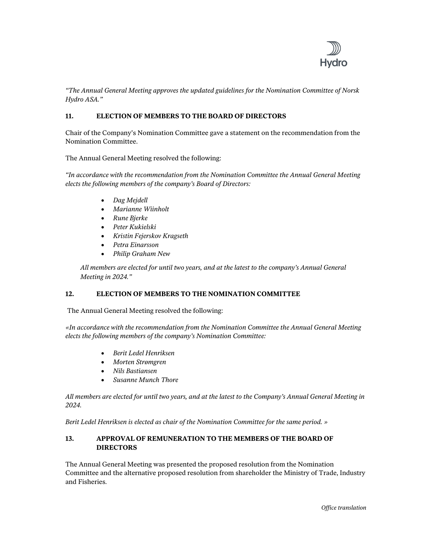

*"The Annual General Meeting approves the updated guidelines for the Nomination Committee of Norsk Hydro ASA."* 

### **11. ELECTION OF MEMBERS TO THE BOARD OF DIRECTORS**

Chair of the Company's Nomination Committee gave a statement on the recommendation from the Nomination Committee.

The Annual General Meeting resolved the following:

*"In accordance with the recommendation from the Nomination Committee the Annual General Meeting elects the following members of the company's Board of Directors:* 

- *Dag Mejdell*
- *Marianne Wiinholt*
- *Rune Bjerke*
- *Peter Kukielski*
- *Kristin Fejerskov Kragseth*
- *Petra Einarsson*
- *Philip Graham New*

*All members are elected for until two years, and at the latest to the company's Annual General Meeting in 2024."* 

#### **12. ELECTION OF MEMBERS TO THE NOMINATION COMMITTEE**

The Annual General Meeting resolved the following:

*«In accordance with the recommendation from the Nomination Committee the Annual General Meeting elects the following members of the company's Nomination Committee:* 

- *Berit Ledel Henriksen*
- *Morten Strømgren*
- *Nils Bastiansen*
- *Susanne Munch Thore*

*All members are elected for until two years, and at the latest to the Company's Annual General Meeting in 2024.* 

*Berit Ledel Henriksen is elected as chair of the Nomination Committee for the same period. »* 

#### **13. APPROVAL OF REMUNERATION TO THE MEMBERS OF THE BOARD OF DIRECTORS**

The Annual General Meeting was presented the proposed resolution from the Nomination Committee and the alternative proposed resolution from shareholder the Ministry of Trade, Industry and Fisheries.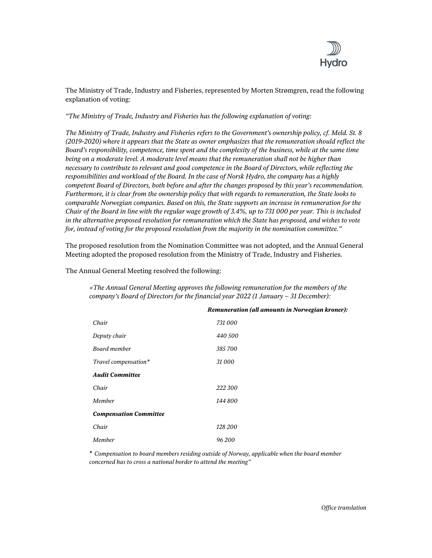

The Ministry of Trade, Industry and Fisheries, represented by Morten Strømgren, read the following explanation of voting:

*"The Ministry of Trade, Industry and Fisheries has the following explanation of voting:* 

*The Ministry of Trade, Industry and Fisheries refers to the Government's ownership policy, cf. Meld. St. 8 (2019-2020) where it appears that the State as owner emphasizes that the remuneration should reflect the Board's responsibility, competence, time spent and the complexity of the business, while at the same time being on a moderate level. A moderate level means that the remuneration shall not be higher than necessary to contribute to relevant and good competence in the Board of Directors, while reflecting the responsibilities and workload of the Board. In the case of Norsk Hydro, the company has a highly competent Board of Directors, both before and after the changes proposed by this year's recommendation. Furthermore, it is clear from the ownership policy that with regards to remuneration, the State looks to comparable Norwegian companies. Based on this, the State supports an increase in remuneration for the Chair of the Board in line with the regular wage growth of 3.4%, up to 731 000 per year. This is included in the alternative proposed resolution for remuneration which the State has proposed, and wishes to vote for, instead of voting for the proposed resolution from the majority in the nomination committee."* 

The proposed resolution from the Nomination Committee was not adopted, and the Annual General Meeting adopted the proposed resolution from the Ministry of Trade, Industry and Fisheries.

The Annual General Meeting resolved the following:

*«The Annual General Meeting approves the following remuneration for the members of the company's Board of Directors for the financial year 2022 (1 January – 31 December):* 

| Chair                         | 731 000 |
|-------------------------------|---------|
| Deputy chair                  | 440 500 |
| Board member                  | 385700  |
| Travel compensation*          | 31000   |
| <b>Audit Committee</b>        |         |
| Chair                         | 222 300 |
| Member                        | 144 800 |
| <b>Compensation Committee</b> |         |
| Chair                         | 128 200 |
| Member                        | 96 200  |

*Remuneration (all amounts in Norwegian kroner):* 

\* *Compensation to board members residing outside of Norway, applicable when the board member concerned has to cross a national border to attend the meeting"*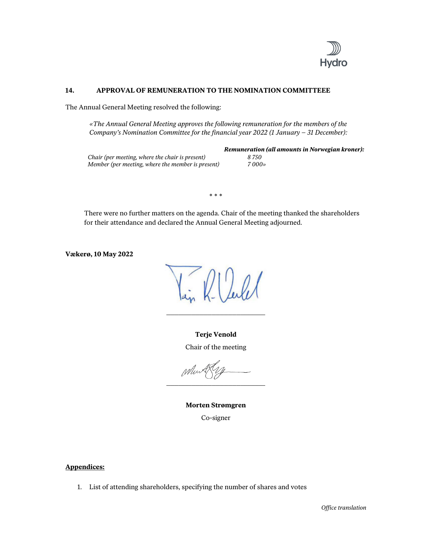

#### **14. APPROVAL OF REMUNERATION TO THE NOMINATION COMMITTEEE**

The Annual General Meeting resolved the following:

*«The Annual General Meeting approves the following remuneration for the members of the Company's Nomination Committee for the financial year 2022 (1 January – 31 December):* 

|                                                   | <b>Remuneration (all amounts in Norwegian kroner):</b> |
|---------------------------------------------------|--------------------------------------------------------|
| Chair (per meeting, where the chair is present)   | 8 750                                                  |
| Member (per meeting, where the member is present) | $7000$ »                                               |

\* \* \*

There were no further matters on the agenda. Chair of the meeting thanked the shareholders for their attendance and declared the Annual General Meeting adjourned.

**Vækerø, 10 May 2022** 

 $012.01$ 

**Terje Venold**  Chair of the meeting

\_\_\_\_\_\_\_\_\_\_\_\_\_\_\_\_\_\_\_\_\_\_\_\_

When \_\_\_\_\_\_\_\_\_\_\_\_\_\_\_\_\_\_\_\_\_\_\_\_

**Morten Strømgren**  Co-signer

#### **Appendices:**

1. List of attending shareholders, specifying the number of shares and votes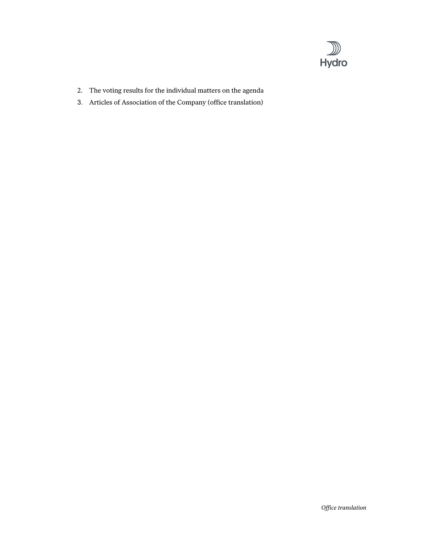

- 2. The voting results for the individual matters on the agenda
- 3. Articles of Association of the Company (office translation)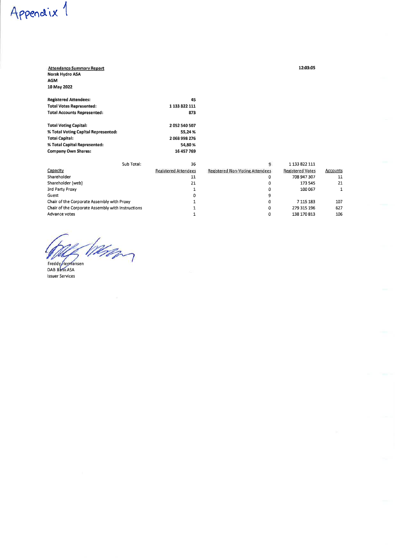#### **Attendance Summary Report** Norsk Hydro ASA AGM

10 May 2022

Appendix 1

| <b>Registered Attendees:</b>       | 45            |
|------------------------------------|---------------|
| <b>Total Votes Represented:</b>    | 1 133 822 111 |
| <b>Total Accounts Represented:</b> | 873           |
|                                    |               |

| <b>Total Voting Capital:</b>        | 2052540507 |
|-------------------------------------|------------|
| % Total Voting Capital Represented: | 55.24%     |
| <b>Total Capital:</b>               | 2068998276 |
| % Total Capital Represented:        | 54.80%     |
| <b>Company Own Shares:</b>          | 16 457 769 |

| Sub Total:                                        | 36                          |                                        | 1 133 822 111           |          |
|---------------------------------------------------|-----------------------------|----------------------------------------|-------------------------|----------|
| Capacity                                          | <b>Registered Attendees</b> | <b>Registered Non-Voting Attendees</b> | <b>Registered Votes</b> | Accounts |
| Shareholder                                       | 11                          | c                                      | 708 947 307             | 11       |
| Shareholder (web)                                 | 21                          |                                        | 173 545                 | 21       |
| 3rd Party Proxy                                   |                             |                                        | 100 067                 |          |
| Guest                                             |                             |                                        |                         |          |
| Chair of the Corporate Assembly with Proxy        |                             | 0                                      | 7 115 183               | 107      |
| Chair of the Corporate Assembly with Instructions |                             | ۵                                      | 279 315 196             | 627      |
| Advance votes                                     |                             | с                                      | 138 170 813             | 106      |

min Freddy Hermansen<br>DAB Bank ASA

**Issuer Services**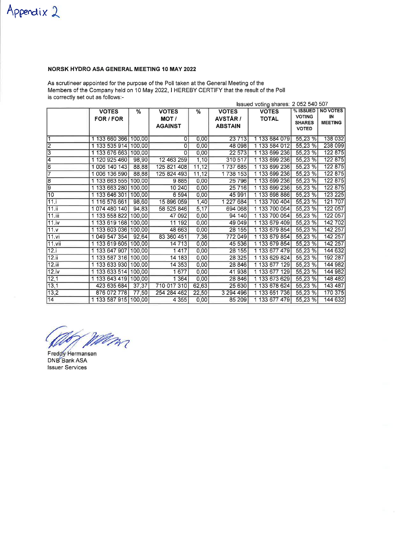# Appendix 2

# NORSK HYDRO ASA GENERAL MEETING 10 MAY 2022

As scrutineer appointed for the purpose of the Poll taken at the General Meeting of the Members of the Company held on 10 May 2022, I HEREBY CERTIFY that the result of the Poll is correctly set out as follows -

|        |                      |        |                |       | Issued voting shares: 2 052 540 507 |               |                               |                 |
|--------|----------------------|--------|----------------|-------|-------------------------------------|---------------|-------------------------------|-----------------|
|        | <b>VOTES</b>         | %      | <b>VOTES</b>   | %     | <b>VOTES</b>                        | <b>VOTES</b>  | % ISSUED                      | <b>NO VOTES</b> |
|        | FOR / FOR            |        | MOT/           |       | <b>AVSTÅR/</b>                      | <b>TOTAL</b>  | <b>VOTING</b>                 | IN              |
|        |                      |        | <b>AGAINST</b> |       | <b>ABSTAIN</b>                      |               | <b>SHARES</b><br><b>VOTED</b> | <b>MEETING</b>  |
|        |                      |        |                |       |                                     |               |                               |                 |
| 1      | 1 133 660 366 100,00 |        | ٥l             | 0,00  | 23713                               | 1 133 684 079 | 55,23 %                       | 138 032         |
| 2      | 1 133 535 914 100,00 |        | $\overline{0}$ | 0,00  | 48 098                              | 1 133 584 012 | 55,23 %                       | 238 099         |
| 3      | 1 133 676 663 100,00 |        | 0              | 0,00  | 22 573                              | 1 133 699 236 | 55,23 %                       | 122 875         |
| 4      | 1 120 925 460        | 98,90  | 12 463 259     | 1,10  | 310 517                             | 1 133 699 236 | 55,23 %                       | 122 875         |
| 6      | 1 006 140 143        | 88,88  | 125 821 408    | 11,12 | 1737685                             | 1 133 699 236 | 55,23 %                       | 122 875         |
| 7      | 1 006 136 590        | 88,88  | 125 824 493    | 11,12 | 1738 153                            | 1 133 699 236 | 55,23 %                       | 122 875         |
| 8      | 1 133 663 555 100,00 |        | 9885           | 0,00  | 25 7 96                             | 1 133 699 236 | 55,23 %                       | 122 875         |
| 9      | 1 133 663 280        | 100,00 | 10240          | 0,00  | 25 7 16                             | 1 133 699 236 | 55,23 %                       | 122 875         |
| 10     | 1 133 646 301        | 100,00 | 6594           | 0,00  | 45 991                              | 1 133 698 886 | 55,23 %                       | 123 225         |
| 11.i   | 1 116 576 661        | 98,60  | 15 896 059     | 1,40  | 1 227 684                           | 1 133 700 404 | 55,23 %                       | 121 707         |
| 11.ii  | 1 074 480 140        | 94,83  | 58 525 846     | 5,17  | 694 068                             | 1 133 700 054 | 55,23 %                       | 122 057         |
| 11.iii | 1 133 558 822 100,00 |        | 47 092         | 0,00  | 94 140                              | 1 133 700 054 | 55,23 %                       | 122 057         |
| 11.iv  | 1 133 619 168 100 00 |        | 11 192         | 0,00  | 49 049                              | 1 133 679 409 | 55,23 %                       | 142 702         |
| 11.v   | 1 133 603 036 100,00 |        | 48 663         | 0,00  | 28 155                              | 1 133 679 854 | 55,23 %                       | 142 257         |
| 11.vi  | 1 049 547 354        | 92,64  | 83 360 451     | 7,36  | 772 049                             | 1 133 679 854 | 55,23 %                       | 142 257         |
| 11.vii | 1 133 619 605 100 00 |        | 14 7 13        | 0,00  | 45 536                              | 1 133 679 854 | 55,23 %                       | 142 257         |
| 12.i   | 1 133 647 907 100,00 |        | 1417           | 0,00  | 28 155                              | 1 133 677 479 | 55,23 %                       | 144 632         |
| 12.ii  | 1 133 587 316 100,00 |        | 14 183         | 0,00  | 28 3 25                             | 1 133 629 824 | 55,23 %                       | 192 287         |
| 12.iii | 1 133 633 930 100,00 |        | 14 353         | 0,00  | 28 846                              | 1 133 677 129 | 55,23 %                       | 144 982         |
| 12.iv  | 1 133 633 514 100,00 |        | 1677           | 0,00  | 41 938                              | 1 133 677 129 | 55,23 %                       | 144 982         |
| 12,1   | 1 133 643 419 100,00 |        | 1 3 6 4        | 0,00  | 28 846                              | 1 133 673 629 | 55,23 %                       | 148 482         |
| 13,1   | 423 635 684          | 37,37  | 710 017 310    | 62,63 | 25 630                              | 1 133 678 624 | 55,23 %                       | 143 487         |
| 13,2   | 876 072 778          | 77,50  | 254 284 462    | 22,50 | 3 294 496                           | 1 133 651 736 | 55,23 %                       | 170 375         |
| 14     | 1 133 587 915 100,00 |        | 4 3 5 5        | 0,00  | 85 209                              | 1 133 677 479 | 55,23 %                       | 144 632         |

Man

Freddy Hermansen DNB Bank ASA **Issuer Services**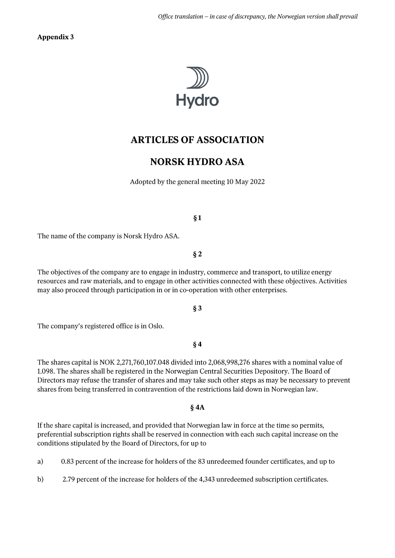**Appendix 3** 



# **ARTICLES OF ASSOCIATION**

# **NORSK HYDRO ASA**

Adopted by the general meeting 10 May 2022

# $§1$

The name of the company is Norsk Hydro ASA.

# $§2$

The objectives of the company are to engage in industry, commerce and transport, to utilize energy resources and raw materials, and to engage in other activities connected with these objectives. Activities may also proceed through participation in or in co-operation with other enterprises.

# $§$ 3

The company's registered office is in Oslo.

# $§4$

The shares capital is NOK 2,271,760,107.048 divided into 2,068,998,276 shares with a nominal value of 1.098. The shares shall be registered in the Norwegian Central Securities Depository. The Board of Directors may refuse the transfer of shares and may take such other steps as may be necessary to prevent shares from being transferred in contravention of the restrictions laid down in Norwegian law.

# $§$  4A

If the share capital is increased, and provided that Norwegian law in force at the time so permits, preferential subscription rights shall be reserved in connection with each such capital increase on the conditions stipulated by the Board of Directors, for up to

a) 0.83 percent of the increase for holders of the 83 unredeemed founder certificates, and up to

 $b)$ 2.79 percent of the increase for holders of the 4,343 unredeemed subscription certificates.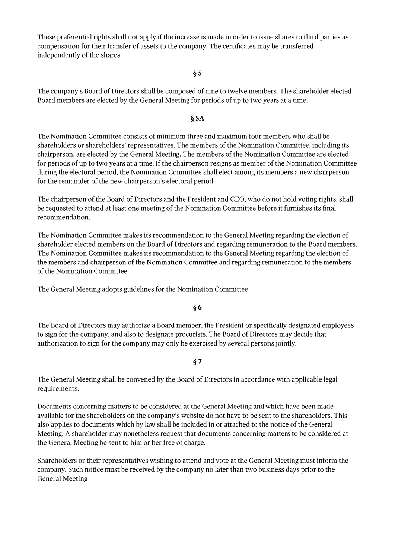These preferential rights shall not apply if the increase is made in order to issue shares to third parties as compensation for their transfer of assets to the company. The certificates may be transferred independently of the shares.

# $\S 5$

The company's Board of Directors shall be composed of nine to twelve members. The shareholder elected Board members are elected by the General Meeting for periods of up to two years at a time.

#### $§ 5A$

The Nomination Committee consists of minimum three and maximum four members who shall be shareholders or shareholders' representatives. The members of the Nomination Committee, including its chairperson, are elected by the General Meeting. The members of the Nomination Committee are elected for periods of up to two years at a time. If the chairperson resigns as member of the Nomination Committee during the electoral period, the Nomination Committee shall elect among its members a new chairperson for the remainder of the new chairperson's electoral period.

The chairperson of the Board of Directors and the President and CEO, who do not hold voting rights, shall be requested to attend at least one meeting of the Nomination Committee before it furnishes its final recommendation.

The Nomination Committee makes its recommendation to the General Meeting regarding the election of shareholder elected members on the Board of Directors and regarding remuneration to the Board members. The Nomination Committee makes its recommendation to the General Meeting regarding the election of the members and chairperson of the Nomination Committee and regarding remuneration to the members of the Nomination Committee.

The General Meeting adopts guidelines for the Nomination Committee.

# $§6$

The Board of Directors may authorize a Board member, the President or specifically designated employees to sign for the company, and also to designate procurists. The Board of Directors may decide that authorization to sign for the company may only be exercised by several persons jointly.

# $§ 7$

The General Meeting shall be convened by the Board of Directors in accordance with applicable legal requirements.

Documents concerning matters to be considered at the General Meeting and which have been made available for the shareholders on the company's website do not have to be sent to the shareholders. This also applies to documents which by law shall be included in or attached to the notice of the General Meeting. A shareholder may nonetheless request that documents concerning matters to be considered at the General Meeting be sent to him or her free of charge.

Shareholders or their representatives wishing to attend and vote at the General Meeting must inform the company. Such notice must be received by the company no later than two business days prior to the **General Meeting**